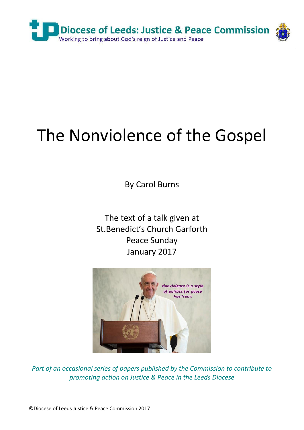

## The Nonviolence of the Gospel

By Carol Burns

The text of a talk given at St.Benedict's Church Garforth Peace Sunday January 2017



*Part of an occasional series of papers published by the Commission to contribute to promoting action on Justice & Peace in the Leeds Diocese*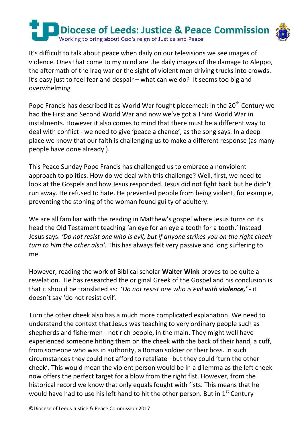

It's difficult to talk about peace when daily on our televisions we see images of violence. Ones that come to my mind are the daily images of the damage to Aleppo, the aftermath of the Iraq war or the sight of violent men driving trucks into crowds. It's easy just to feel fear and despair – what can we do? It seems too big and overwhelming

Pope Francis has described it as World War fought piecemeal: in the 20<sup>th</sup> Century we had the First and Second World War and now we've got a Third World War in instalments. However it also comes to mind that there must be a different way to deal with conflict - we need to give 'peace a chance', as the song says. In a deep place we know that our faith is challenging us to make a different response (as many people have done already ).

This Peace Sunday Pope Francis has challenged us to embrace a nonviolent approach to politics. How do we deal with this challenge? Well, first, we need to look at the Gospels and how Jesus responded. Jesus did not fight back but he didn't run away. He refused to hate. He prevented people from being violent, for example, preventing the stoning of the woman found guilty of adultery.

We are all familiar with the reading in Matthew's gospel where Jesus turns on its head the Old Testament teaching 'an eye for an eye a tooth for a tooth.' Instead Jesus says: *'Do not resist one who is evil, but if anyone strikes you on the right cheek turn to him the other also'.* This has always felt very passive and long suffering to me.

However, reading the work of Biblical scholar **Walter Wink** proves to be quite a revelation. He has researched the original Greek of the Gospel and his conclusion is that it should be translated as: '*Do not resist one who is evil with violence,' -* it doesn't say 'do not resist evil'.

Turn the other cheek also has a much more complicated explanation. We need to understand the context that Jesus was teaching to very ordinary people such as shepherds and fishermen - not rich people, in the main. They might well have experienced someone hitting them on the cheek with the back of their hand, a cuff, from someone who was in authority, a Roman soldier or their boss. In such circumstances they could not afford to retaliate –but they could 'turn the other cheek'. This would mean the violent person would be in a dilemma as the left cheek now offers the perfect target for a blow from the right fist. However, from the historical record we know that only equals fought with fists. This means that he would have had to use his left hand to hit the other person. But in  $1<sup>st</sup>$  Century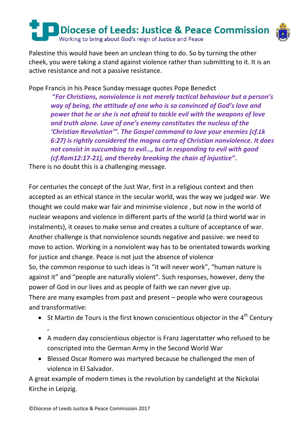

Palestine this would have been an unclean thing to do. So by turning the other cheek, you were taking a stand against violence rather than submitting to it. It is an active resistance and not a passive resistance.

Pope Francis in his Peace Sunday message quotes Pope Benedict

**"***For Christians, nonviolence is not merely tactical behaviour but a person's way of being, the attitude of one who is so convinced of God's love and power that he or she is not afraid to tackle evil with the weapons of love and truth alone. Love of one's enemy constitutes the nucleus of the 'Christian Revolution'". The Gospel command to love your enemies (cf.Lk 6:27) is rightly considered the magna carta of Christian nonviolence. It does not consist in succumbing to evil…, but in responding to evil with good (cf.Rom12:17-21), and thereby breaking the chain of injustice"***.**

There is no doubt this is a challenging message.

For centuries the concept of the Just War, first in a religious context and then accepted as an ethical stance in the secular world, was the way we judged war. We thought we could make war fair and minimise violence , but now in the world of nuclear weapons and violence in different parts of the world (a third world war in instalments), it ceases to make sense and creates a culture of acceptance of war. Another challenge is that nonviolence sounds negative and passive: we need to move to action. Working in a nonviolent way has to be orientated towards working for justice and change. Peace is not just the absence of violence

So, the common response to such ideas is "it will never work", "human nature is against it" and "people are naturally violent". Such responses, however, deny the power of God in our lives and as people of faith we can never give up.

There are many examples from past and present – people who were courageous and transformative:

- $\bullet$  St Martin de Tours is the first known conscientious objector in the 4<sup>th</sup> Century ,
- A modern day conscientious objector is Franz Jagerstatter who refused to be conscripted into the German Army in the Second World War
- Blessed Oscar Romero was martyred because he challenged the men of violence in El Salvador.

A great example of modern times is the revolution by candelight at the Nickolai Kirche in Leipzig.